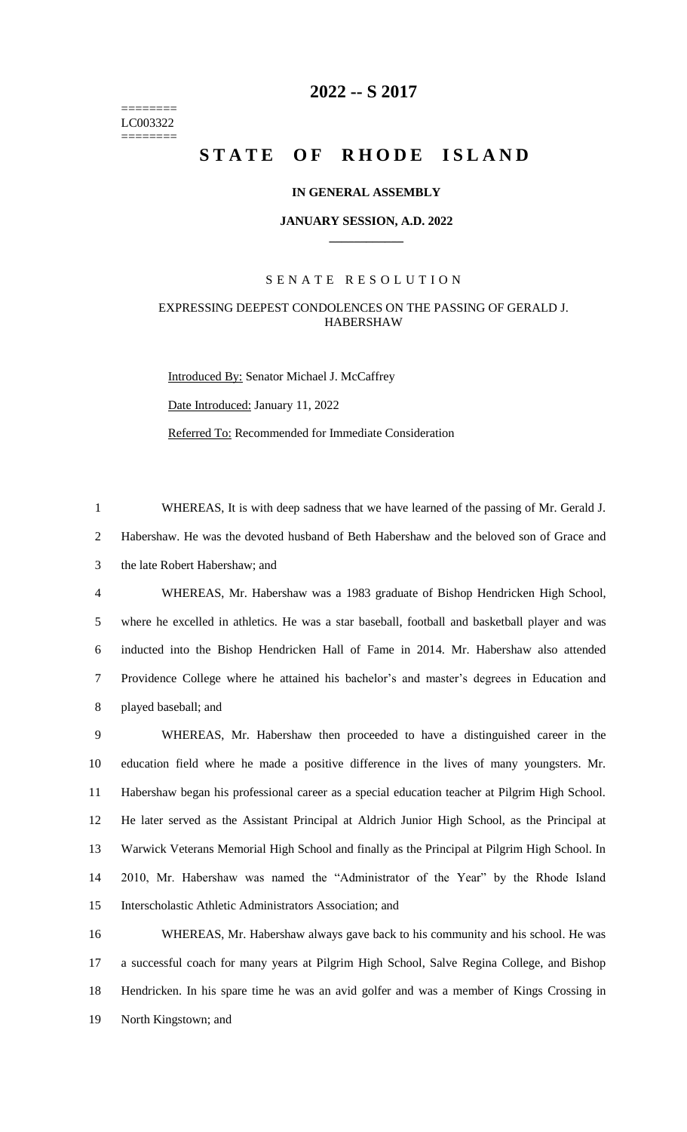======== LC003322 ========

# **-- S 2017**

# STATE OF RHODE ISLAND

#### **IN GENERAL ASSEMBLY**

#### **JANUARY SESSION, A.D. 2022 \_\_\_\_\_\_\_\_\_\_\_\_**

### S E N A T E R E S O L U T I O N

## EXPRESSING DEEPEST CONDOLENCES ON THE PASSING OF GERALD J. HABERSHAW

Introduced By: Senator Michael J. McCaffrey Date Introduced: January 11, 2022 Referred To: Recommended for Immediate Consideration

 WHEREAS, It is with deep sadness that we have learned of the passing of Mr. Gerald J. Habershaw. He was the devoted husband of Beth Habershaw and the beloved son of Grace and the late Robert Habershaw; and

 WHEREAS, Mr. Habershaw was a 1983 graduate of Bishop Hendricken High School, where he excelled in athletics. He was a star baseball, football and basketball player and was inducted into the Bishop Hendricken Hall of Fame in 2014. Mr. Habershaw also attended Providence College where he attained his bachelor's and master's degrees in Education and played baseball; and

 WHEREAS, Mr. Habershaw then proceeded to have a distinguished career in the education field where he made a positive difference in the lives of many youngsters. Mr. Habershaw began his professional career as a special education teacher at Pilgrim High School. He later served as the Assistant Principal at Aldrich Junior High School, as the Principal at Warwick Veterans Memorial High School and finally as the Principal at Pilgrim High School. In 2010, Mr. Habershaw was named the "Administrator of the Year" by the Rhode Island Interscholastic Athletic Administrators Association; and

 WHEREAS, Mr. Habershaw always gave back to his community and his school. He was a successful coach for many years at Pilgrim High School, Salve Regina College, and Bishop Hendricken. In his spare time he was an avid golfer and was a member of Kings Crossing in North Kingstown; and